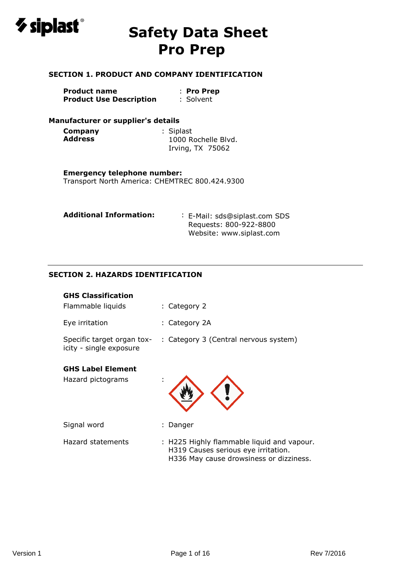

### **SECTION 1. PRODUCT AND COMPANY IDENTIFICATION**

| Product name                   | : Pro Prep |
|--------------------------------|------------|
| <b>Product Use Description</b> | : Solvent  |

### **Manufacturer or supplier's details**

| Company        | : Siplast           |
|----------------|---------------------|
| <b>Address</b> | 1000 Rochelle Blyd. |
|                | Irving, TX 75062    |

### **Emergency telephone number:**

Transport North America: CHEMTREC 800.424.9300

| <b>Additional Information:</b> | : E-Mail: sds@siplast.com SDS |  |  |
|--------------------------------|-------------------------------|--|--|
|                                | Requests: 800-922-8800        |  |  |
|                                | Website: www.siplast.com      |  |  |

## **SECTION 2. HAZARDS IDENTIFICATION**

| <b>GHS Classification</b>                             |                                                                                                                              |
|-------------------------------------------------------|------------------------------------------------------------------------------------------------------------------------------|
| Flammable liquids                                     | : Category 2                                                                                                                 |
| Eye irritation                                        | : Category 2A                                                                                                                |
| Specific target organ tox-<br>icity - single exposure | : Category 3 (Central nervous system)                                                                                        |
| <b>GHS Label Element</b>                              |                                                                                                                              |
| Hazard pictograms                                     |                                                                                                                              |
| Signal word                                           | : Danger                                                                                                                     |
| Hazard statements                                     | : H225 Highly flammable liquid and vapour.<br>H319 Causes serious eye irritation.<br>H336 May cause drowsiness or dizziness. |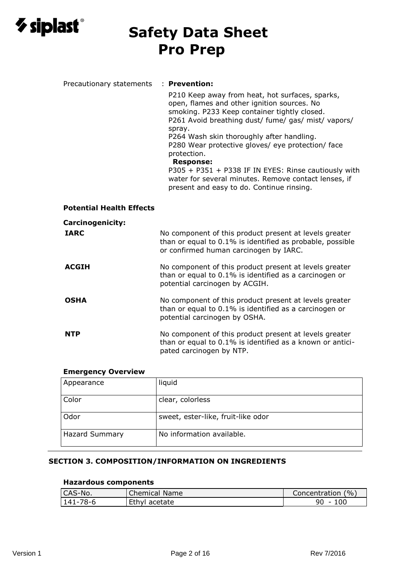

| Precautionary statements        | : Prevention:                                                                                                                                                                                                                                                                                                                                                                                                                                                                                                     |
|---------------------------------|-------------------------------------------------------------------------------------------------------------------------------------------------------------------------------------------------------------------------------------------------------------------------------------------------------------------------------------------------------------------------------------------------------------------------------------------------------------------------------------------------------------------|
|                                 | P210 Keep away from heat, hot surfaces, sparks,<br>open, flames and other ignition sources. No<br>smoking. P233 Keep container tightly closed.<br>P261 Avoid breathing dust/ fume/ gas/ mist/ vapors/<br>spray.<br>P264 Wash skin thoroughly after handling.<br>P280 Wear protective gloves/ eye protection/ face<br>protection.<br><b>Response:</b><br>P305 + P351 + P338 IF IN EYES: Rinse cautiously with<br>water for several minutes. Remove contact lenses, if<br>present and easy to do. Continue rinsing. |
| <b>Potential Health Effects</b> |                                                                                                                                                                                                                                                                                                                                                                                                                                                                                                                   |
|                                 |                                                                                                                                                                                                                                                                                                                                                                                                                                                                                                                   |
| <b>Carcinogenicity:</b>         |                                                                                                                                                                                                                                                                                                                                                                                                                                                                                                                   |
| <b>IARC</b>                     | No component of this product present at levels greater<br>than or equal to 0.1% is identified as probable, possible<br>or confirmed human carcinogen by IARC.                                                                                                                                                                                                                                                                                                                                                     |
| <b>ACGIH</b>                    | No component of this product present at levels greater<br>than or equal to 0.1% is identified as a carcinogen or<br>potential carcinogen by ACGIH.                                                                                                                                                                                                                                                                                                                                                                |
| <b>OSHA</b>                     | No component of this product present at levels greater<br>than or equal to 0.1% is identified as a carcinogen or<br>potential carcinogen by OSHA.                                                                                                                                                                                                                                                                                                                                                                 |
| <b>NTP</b>                      | No component of this product present at levels greater<br>than or equal to 0.1% is identified as a known or antici-<br>pated carcinogen by NTP.                                                                                                                                                                                                                                                                                                                                                                   |

### **Emergency Overview**

| Appearance            | liquid                             |
|-----------------------|------------------------------------|
| Color                 | clear, colorless                   |
| Odor                  | sweet, ester-like, fruit-like odor |
| <b>Hazard Summary</b> | No information available.          |

#### **SECTION 3. COMPOSITION/INFORMATION ON INGREDIENTS**

#### **Hazardous components**

| CAS-No.  | Chemical Name | Concentration (%) |
|----------|---------------|-------------------|
| 141-78-6 | Ethyl acetate | 90                |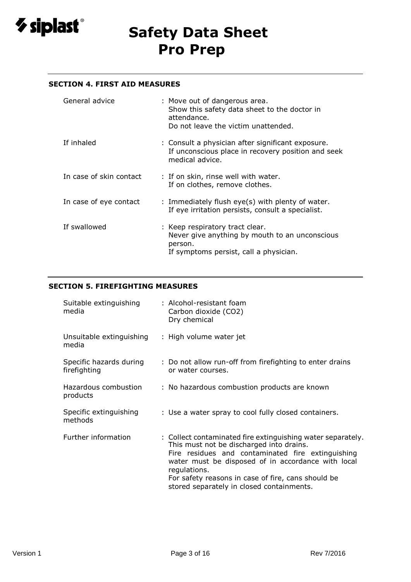

### **SECTION 4. FIRST AID MEASURES**

| General advice          | : Move out of dangerous area.<br>Show this safety data sheet to the doctor in<br>attendance.<br>Do not leave the victim unattended.    |
|-------------------------|----------------------------------------------------------------------------------------------------------------------------------------|
| If inhaled              | : Consult a physician after significant exposure.<br>If unconscious place in recovery position and seek<br>medical advice.             |
| In case of skin contact | : If on skin, rinse well with water.<br>If on clothes, remove clothes.                                                                 |
| In case of eye contact  | : Immediately flush eye(s) with plenty of water.<br>If eye irritation persists, consult a specialist.                                  |
| If swallowed            | : Keep respiratory tract clear.<br>Never give anything by mouth to an unconscious<br>person.<br>If symptoms persist, call a physician. |

### **SECTION 5. FIREFIGHTING MEASURES**

| Suitable extinguishing<br>media         | : Alcohol-resistant foam<br>Carbon dioxide (CO2)<br>Dry chemical                                                                                                                                                                                                                                                                      |
|-----------------------------------------|---------------------------------------------------------------------------------------------------------------------------------------------------------------------------------------------------------------------------------------------------------------------------------------------------------------------------------------|
| Unsuitable extinguishing<br>media       | : High volume water jet                                                                                                                                                                                                                                                                                                               |
| Specific hazards during<br>firefighting | : Do not allow run-off from firefighting to enter drains<br>or water courses.                                                                                                                                                                                                                                                         |
| Hazardous combustion<br>products        | : No hazardous combustion products are known                                                                                                                                                                                                                                                                                          |
| Specific extinguishing<br>methods       | : Use a water spray to cool fully closed containers.                                                                                                                                                                                                                                                                                  |
| Further information                     | : Collect contaminated fire extinguishing water separately.<br>This must not be discharged into drains.<br>Fire residues and contaminated fire extinguishing<br>water must be disposed of in accordance with local<br>regulations.<br>For safety reasons in case of fire, cans should be<br>stored separately in closed containments. |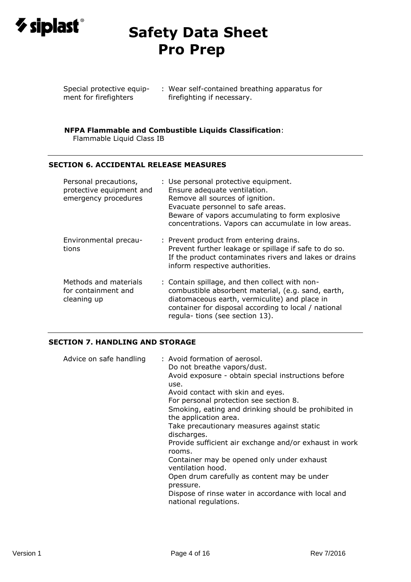

Special protective equip-: Wear self-contained breathing apparatus for ment for firefighters firefighting if necessary.

#### **NFPA Flammable and Combustible Liquids Classification**:

Flammable Liquid Class IB

### **SECTION 6. ACCIDENTAL RELEASE MEASURES**

| Personal precautions,<br>protective equipment and<br>emergency procedures | : Use personal protective equipment.<br>Ensure adequate ventilation.<br>Remove all sources of ignition.<br>Evacuate personnel to safe areas.<br>Beware of vapors accumulating to form explosive<br>concentrations. Vapors can accumulate in low areas. |
|---------------------------------------------------------------------------|--------------------------------------------------------------------------------------------------------------------------------------------------------------------------------------------------------------------------------------------------------|
| Environmental precau-<br>tions                                            | : Prevent product from entering drains.<br>Prevent further leakage or spillage if safe to do so.<br>If the product contaminates rivers and lakes or drains<br>inform respective authorities.                                                           |
| Methods and materials<br>for containment and<br>cleaning up               | : Contain spillage, and then collect with non-<br>combustible absorbent material, (e.g. sand, earth,<br>diatomaceous earth, vermiculite) and place in<br>container for disposal according to local / national<br>regula- tions (see section 13).       |

### **SECTION 7. HANDLING AND STORAGE**

| Advice on safe handling | : Avoid formation of aerosol.<br>Do not breathe vapors/dust.<br>Avoid exposure - obtain special instructions before<br>use.<br>Avoid contact with skin and eyes.<br>For personal protection see section 8.<br>Smoking, eating and drinking should be prohibited in<br>the application area.<br>Take precautionary measures against static<br>discharges.<br>Provide sufficient air exchange and/or exhaust in work<br>rooms.<br>Container may be opened only under exhaust<br>ventilation hood.<br>Open drum carefully as content may be under<br>pressure.<br>Dispose of rinse water in accordance with local and<br>national regulations. |
|-------------------------|---------------------------------------------------------------------------------------------------------------------------------------------------------------------------------------------------------------------------------------------------------------------------------------------------------------------------------------------------------------------------------------------------------------------------------------------------------------------------------------------------------------------------------------------------------------------------------------------------------------------------------------------|
|-------------------------|---------------------------------------------------------------------------------------------------------------------------------------------------------------------------------------------------------------------------------------------------------------------------------------------------------------------------------------------------------------------------------------------------------------------------------------------------------------------------------------------------------------------------------------------------------------------------------------------------------------------------------------------|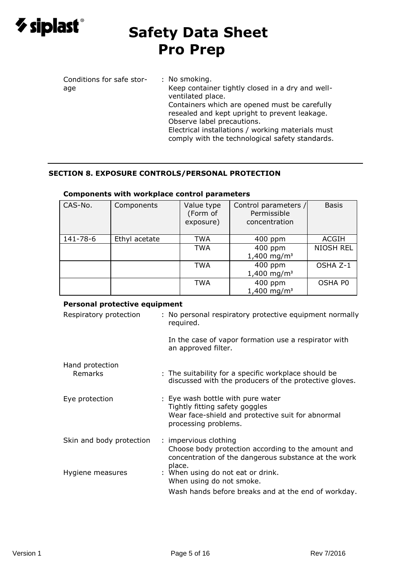

# **SECTION 8. EXPOSURE CONTROLS/PERSONAL PROTECTION**

| CAS-No.  | Components    | Value type<br>(Form of<br>exposure) | Control parameters /<br>Permissible<br>concentration | <b>Basis</b>     |
|----------|---------------|-------------------------------------|------------------------------------------------------|------------------|
| 141-78-6 | Ethyl acetate | TWA                                 | $400$ ppm                                            | ACGIH            |
|          |               | TWA                                 | 400 ppm                                              | <b>NIOSH REL</b> |
|          |               |                                     | $1,400$ mg/m <sup>3</sup>                            |                  |
|          |               | <b>TWA</b>                          | 400 ppm                                              | OSHA Z-1         |
|          |               |                                     | $1,400$ mg/m <sup>3</sup>                            |                  |
|          |               | <b>TWA</b>                          | 400 ppm                                              | OSHA PO          |
|          |               |                                     | $1,400 \text{ mg/m}^3$                               |                  |

### **Components with workplace control parameters**

### **Personal protective equipment**

| Respiratory protection   | : No personal respiratory protective equipment normally<br>required.                                                                             |
|--------------------------|--------------------------------------------------------------------------------------------------------------------------------------------------|
|                          | In the case of vapor formation use a respirator with<br>an approved filter.                                                                      |
| Hand protection          |                                                                                                                                                  |
| Remarks                  | : The suitability for a specific workplace should be<br>discussed with the producers of the protective gloves.                                   |
| Eye protection           | : Eye wash bottle with pure water<br>Tightly fitting safety goggles<br>Wear face-shield and protective suit for abnormal<br>processing problems. |
| Skin and body protection | : impervious clothing<br>Choose body protection according to the amount and<br>concentration of the dangerous substance at the work              |
| Hygiene measures         | place.<br>: When using do not eat or drink.<br>When using do not smoke.<br>Wash hands before breaks and at the end of workday.                   |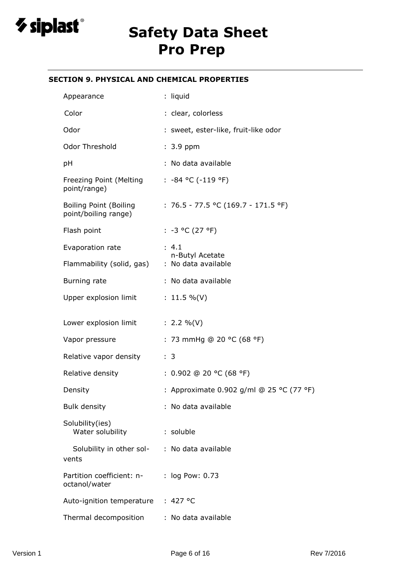

### **SECTION 9. PHYSICAL AND CHEMICAL PROPERTIES**

| Appearance                                            | : liquid                                 |
|-------------------------------------------------------|------------------------------------------|
| Color                                                 | : clear, colorless                       |
| Odor                                                  | : sweet, ester-like, fruit-like odor     |
| Odor Threshold                                        | $: 3.9$ ppm                              |
| pH                                                    | : No data available                      |
| Freezing Point (Melting<br>point/range)               | : $-84$ °C ( $-119$ °F)                  |
| <b>Boiling Point (Boiling</b><br>point/boiling range) | : 76.5 - 77.5 °C (169.7 - 171.5 °F)      |
| Flash point                                           | $: -3 °C (27 °F)$                        |
| Evaporation rate                                      | : 4.1                                    |
| Flammability (solid, gas)                             | n-Butyl Acetate<br>: No data available   |
| Burning rate                                          | : No data available                      |
| Upper explosion limit                                 | : $11.5 \%$ (V)                          |
| Lower explosion limit                                 | : 2.2 %(V)                               |
| Vapor pressure                                        | : 73 mmHg @ 20 °C (68 °F)                |
| Relative vapor density                                | : 3                                      |
| Relative density                                      | : $0.902$ @ 20 °C (68 °F)                |
| Density                                               | : Approximate 0.902 g/ml @ 25 °C (77 °F) |
| <b>Bulk density</b>                                   | : No data available                      |
| Solubility(ies)<br>Water solubility                   | : soluble                                |
| Solubility in other sol-<br>vents                     | : No data available                      |
| Partition coefficient: n-<br>octanol/water            | : log Pow: 0.73                          |
| Auto-ignition temperature                             | : 427 °C                                 |
| Thermal decomposition                                 | : No data available                      |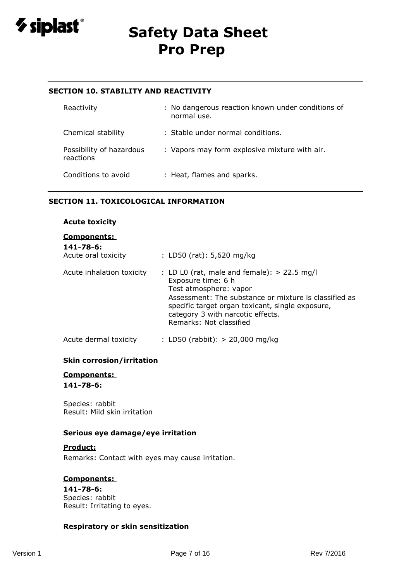

### **SECTION 10. STABILITY AND REACTIVITY**

| Reactivity                            | : No dangerous reaction known under conditions of<br>normal use. |
|---------------------------------------|------------------------------------------------------------------|
| Chemical stability                    | : Stable under normal conditions.                                |
| Possibility of hazardous<br>reactions | : Vapors may form explosive mixture with air.                    |
| Conditions to avoid                   | : Heat, flames and sparks.                                       |

#### **SECTION 11. TOXICOLOGICAL INFORMATION**

### **Acute toxicity**

#### **Components:**

| 141-78-6:<br>Acute oral toxicity | : LD50 (rat): $5,620$ mg/kg                                                                                                                                                                                                                                                |
|----------------------------------|----------------------------------------------------------------------------------------------------------------------------------------------------------------------------------------------------------------------------------------------------------------------------|
| Acute inhalation toxicity        | : LD L0 (rat, male and female): $> 22.5$ mg/l<br>Exposure time: 6 h<br>Test atmosphere: vapor<br>Assessment: The substance or mixture is classified as<br>specific target organ toxicant, single exposure,<br>category 3 with narcotic effects.<br>Remarks: Not classified |
| Acute dermal toxicity            | : LD50 (rabbit): $> 20,000$ mg/kg                                                                                                                                                                                                                                          |

#### **Skin corrosion/irritation**

### **Components: 141-78-6:**

Species: rabbit Result: Mild skin irritation

#### **Serious eye damage/eye irritation**

#### **Product:**

Remarks: Contact with eyes may cause irritation.

#### **Components:**

**141-78-6:** Species: rabbit Result: Irritating to eyes.

#### **Respiratory or skin sensitization**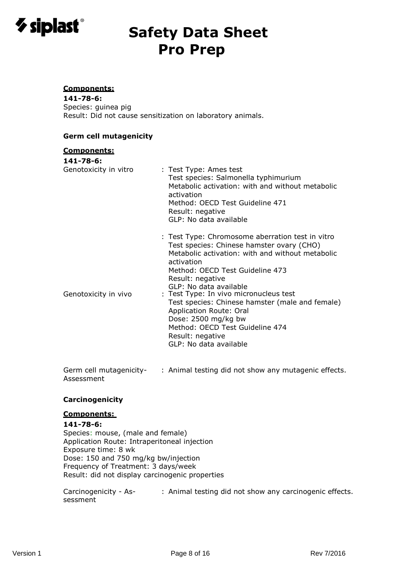

#### **Components:**

**141-78-6:** Species: guinea pig Result: Did not cause sensitization on laboratory animals.

#### **Germ cell mutagenicity**

#### **Components:**

| 141-78-6:             |                                                                                                                                                                                                                                                                                                                                                                                                                                                                                  |
|-----------------------|----------------------------------------------------------------------------------------------------------------------------------------------------------------------------------------------------------------------------------------------------------------------------------------------------------------------------------------------------------------------------------------------------------------------------------------------------------------------------------|
| Genotoxicity in vitro | : Test Type: Ames test<br>Test species: Salmonella typhimurium<br>Metabolic activation: with and without metabolic<br>activation<br>Method: OECD Test Guideline 471<br>Result: negative<br>GLP: No data available                                                                                                                                                                                                                                                                |
| Genotoxicity in vivo  | : Test Type: Chromosome aberration test in vitro<br>Test species: Chinese hamster ovary (CHO)<br>Metabolic activation: with and without metabolic<br>activation<br>Method: OECD Test Guideline 473<br>Result: negative<br>GLP: No data available<br>: Test Type: In vivo micronucleus test<br>Test species: Chinese hamster (male and female)<br>Application Route: Oral<br>Dose: 2500 mg/kg bw<br>Method: OECD Test Guideline 474<br>Result: negative<br>GLP: No data available |

Germ cell mutagenicity-: Animal testing did not show any mutagenic effects. Assessment

#### **Carcinogenicity**

#### **Components:**

#### **141-78-6:**

Species: mouse, (male and female) Application Route: Intraperitoneal injection Exposure time: 8 wk Dose: 150 and 750 mg/kg bw/injection Frequency of Treatment: 3 days/week Result: did not display carcinogenic properties

Carcinogenicity - As-: Animal testing did not show any carcinogenic effects.sessment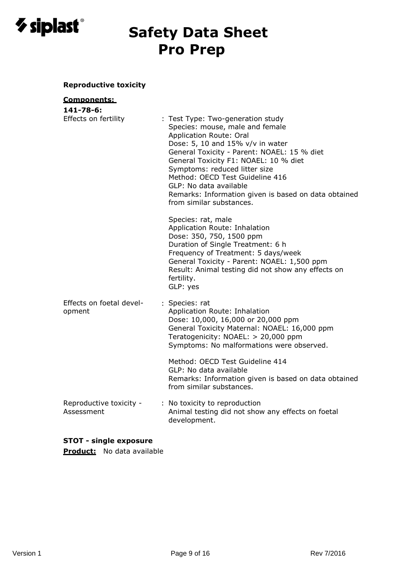

# **Reproductive toxicity**

# **Components:**

| 141-78-6:                             |                                                                                                                                                                                                                                                                                                                                                                                                               |
|---------------------------------------|---------------------------------------------------------------------------------------------------------------------------------------------------------------------------------------------------------------------------------------------------------------------------------------------------------------------------------------------------------------------------------------------------------------|
| Effects on fertility                  | : Test Type: Two-generation study<br>Species: mouse, male and female<br>Application Route: Oral<br>Dose: 5, 10 and 15% v/v in water<br>General Toxicity - Parent: NOAEL: 15 % diet<br>General Toxicity F1: NOAEL: 10 % diet<br>Symptoms: reduced litter size<br>Method: OECD Test Guideline 416<br>GLP: No data available<br>Remarks: Information given is based on data obtained<br>from similar substances. |
|                                       | Species: rat, male<br>Application Route: Inhalation<br>Dose: 350, 750, 1500 ppm<br>Duration of Single Treatment: 6 h<br>Frequency of Treatment: 5 days/week<br>General Toxicity - Parent: NOAEL: 1,500 ppm<br>Result: Animal testing did not show any effects on<br>fertility.<br>GLP: yes                                                                                                                    |
| Effects on foetal devel-<br>opment    | : Species: rat<br>Application Route: Inhalation<br>Dose: 10,000, 16,000 or 20,000 ppm<br>General Toxicity Maternal: NOAEL: 16,000 ppm<br>Teratogenicity: NOAEL: > 20,000 ppm<br>Symptoms: No malformations were observed.                                                                                                                                                                                     |
|                                       | Method: OECD Test Guideline 414<br>GLP: No data available<br>Remarks: Information given is based on data obtained<br>from similar substances.                                                                                                                                                                                                                                                                 |
| Reproductive toxicity -<br>Assessment | : No toxicity to reproduction<br>Animal testing did not show any effects on foetal<br>development.                                                                                                                                                                                                                                                                                                            |

# **STOT - single exposure**

**Product:** No data available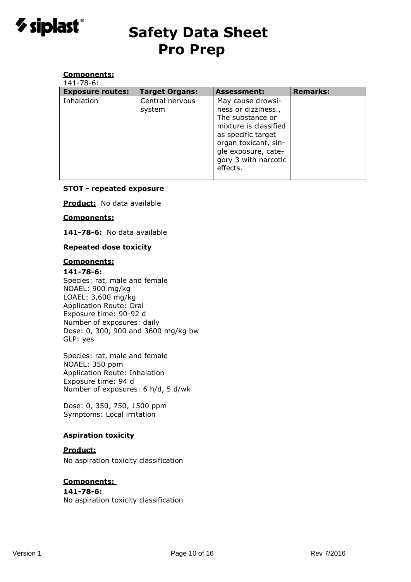

#### **Components:**  $14.786$

| 141-78-6:               |                           |                                                                                                                                                                                                |                 |
|-------------------------|---------------------------|------------------------------------------------------------------------------------------------------------------------------------------------------------------------------------------------|-----------------|
| <b>Exposure routes:</b> | <b>Target Organs:</b>     | <b>Assessment:</b>                                                                                                                                                                             | <b>Remarks:</b> |
| Inhalation              | Central nervous<br>system | May cause drowsi-<br>ness or dizziness.,<br>The substance or<br>mixture is classified<br>as specific target<br>organ toxicant, sin-<br>gle exposure, cate-<br>gory 3 with narcotic<br>effects. |                 |

#### **STOT - repeated exposure**

**Product:** No data available

#### **Components:**

**141-78-6:** No data available

#### **Repeated dose toxicity**

#### **Components:**

**141-78-6:** Species: rat, male and female NOAEL: 900 mg/kg LOAEL: 3,600 mg/kg Application Route: Oral Exposure time: 90-92 d Number of exposures: daily Dose: 0, 300, 900 and 3600 mg/kg bw

Species: rat, male and female NOAEL: 350 ppm Application Route: Inhalation Exposure time: 94 d Number of exposures: 6 h/d, 5 d/wk

Dose: 0, 350, 750, 1500 ppm Symptoms: Local irritation

#### **Aspiration toxicity**

### **Product:**

GLP: yes

No aspiration toxicity classification

### **Components:**

#### **141-78-6:**

No aspiration toxicity classification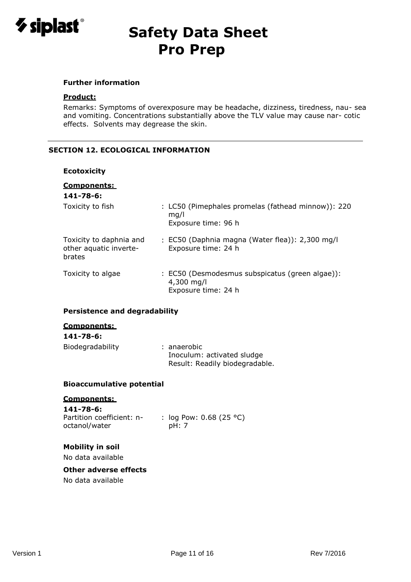

#### **Further information**

#### **Product:**

Remarks: Symptoms of overexposure may be headache, dizziness, tiredness, nau- sea and vomiting. Concentrations substantially above the TLV value may cause nar- cotic effects. Solvents may degrease the skin.

### **SECTION 12. ECOLOGICAL INFORMATION**

#### **Ecotoxicity**

| <b>Components:</b><br>$141 - 78 - 6:$                       |                                                                                      |
|-------------------------------------------------------------|--------------------------------------------------------------------------------------|
| Toxicity to fish                                            | : LC50 (Pimephales promelas (fathead minnow)): 220<br>mq/l<br>Exposure time: 96 h    |
| Toxicity to daphnia and<br>other aquatic inverte-<br>brates | : EC50 (Daphnia magna (Water flea)): 2,300 mg/l<br>Exposure time: 24 h               |
| Toxicity to algae                                           | : EC50 (Desmodesmus subspicatus (green algae)):<br>4,300 mg/l<br>Exposure time: 24 h |

#### **Persistence and degradability**

### **Components:**

# **141-78-6:**

| Biodegradability | : anaerobic                    |
|------------------|--------------------------------|
|                  | Inoculum: activated sludge     |
|                  | Result: Readily biodegradable. |

#### **Bioaccumulative potential**

#### **Components:**

**141-78-6:** Partition coefficient: noctanol/water

: log Pow: 0.68 (25 °C) pH: 7

#### **Mobility in soil**

No data available

#### **Other adverse effects**

No data available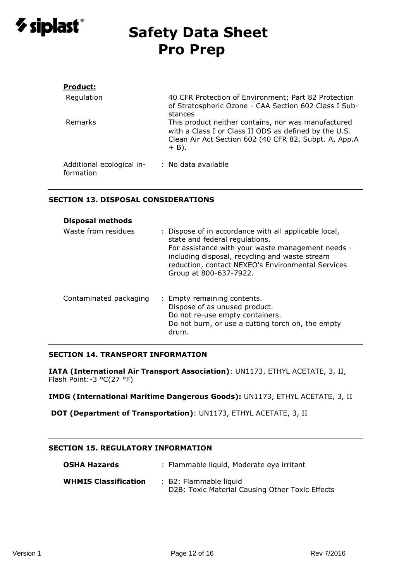

| <b>Product:</b>                        |                                                                                                                                                                                  |
|----------------------------------------|----------------------------------------------------------------------------------------------------------------------------------------------------------------------------------|
| Regulation                             | 40 CFR Protection of Environment; Part 82 Protection<br>of Stratospheric Ozone - CAA Section 602 Class I Sub-<br>stances                                                         |
| Remarks                                | This product neither contains, nor was manufactured<br>with a Class I or Class II ODS as defined by the U.S.<br>Clean Air Act Section 602 (40 CFR 82, Subpt. A, App.A<br>$+$ B). |
| Additional ecological in-<br>formation | : No data available                                                                                                                                                              |

#### **SECTION 13. DISPOSAL CONSIDERATIONS**

| <b>Disposal methods</b> |                                                                                                                                                                                                                                                                               |
|-------------------------|-------------------------------------------------------------------------------------------------------------------------------------------------------------------------------------------------------------------------------------------------------------------------------|
| Waste from residues     | : Dispose of in accordance with all applicable local,<br>state and federal regulations.<br>For assistance with your waste management needs -<br>including disposal, recycling and waste stream<br>reduction, contact NEXEO's Environmental Services<br>Group at 800-637-7922. |
| Contaminated packaging  | : Empty remaining contents.<br>Dispose of as unused product.<br>Do not re-use empty containers.<br>Do not burn, or use a cutting torch on, the empty<br>drum.                                                                                                                 |

#### **SECTION 14. TRANSPORT INFORMATION**

**IATA (International Air Transport Association)**: UN1173, ETHYL ACETATE, 3, II, Flash Point:-3 °C(27 °F)

**IMDG (International Maritime Dangerous Goods):** UN1173, ETHYL ACETATE, 3, II

**DOT (Department of Transportation)**: UN1173, ETHYL ACETATE, 3, II

### **SECTION 15. REGULATORY INFORMATION**

| <b>OSHA Hazards</b>         | : Flammable liquid, Moderate eye irritant                                 |
|-----------------------------|---------------------------------------------------------------------------|
| <b>WHMIS Classification</b> | : B2: Flammable liquid<br>D2B: Toxic Material Causing Other Toxic Effects |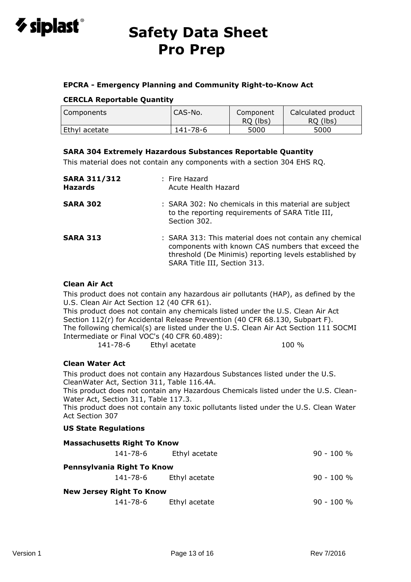

### **EPCRA - Emergency Planning and Community Right-to-Know Act**

### **CERCLA Reportable Quantity**

| Components    | CAS-No.  | Component<br>RO (lbs) | Calculated product<br>RO (lbs) |
|---------------|----------|-----------------------|--------------------------------|
| Ethyl acetate | 141-78-6 | 5000                  | 5000                           |

## **SARA 304 Extremely Hazardous Substances Reportable Quantity**

This material does not contain any components with a section 304 EHS RQ.

| <b>SARA 311/312</b><br><b>Hazards</b> | : Fire Hazard<br>Acute Health Hazard                                                                                                                                                                   |
|---------------------------------------|--------------------------------------------------------------------------------------------------------------------------------------------------------------------------------------------------------|
| <b>SARA 302</b>                       | : SARA 302: No chemicals in this material are subject<br>to the reporting requirements of SARA Title III,<br>Section 302.                                                                              |
| <b>SARA 313</b>                       | : SARA 313: This material does not contain any chemical<br>components with known CAS numbers that exceed the<br>threshold (De Minimis) reporting levels established by<br>SARA Title III, Section 313. |

#### **Clean Air Act**

This product does not contain any hazardous air pollutants (HAP), as defined by the U.S. Clean Air Act Section 12 (40 CFR 61).

This product does not contain any chemicals listed under the U.S. Clean Air Act Section 112(r) for Accidental Release Prevention (40 CFR 68.130, Subpart F). The following chemical(s) are listed under the U.S. Clean Air Act Section 111 SOCMI Intermediate or Final VOC's (40 CFR 60.489):

141-78-6 Ethyl acetate 100 %

#### **Clean Water Act**

This product does not contain any Hazardous Substances listed under the U.S. CleanWater Act, Section 311, Table 116.4A. This product does not contain any Hazardous Chemicals listed under the U.S. Clean-Water Act, Section 311, Table 117.3.

This product does not contain any toxic pollutants listed under the U.S. Clean Water Act Section 307

#### **US State Regulations**

| <b>Massachusetts Right To Know</b> |                        |              |
|------------------------------------|------------------------|--------------|
| 141-78-6                           | Ethyl acetate          | $90 - 100 %$ |
| Pennsylvania Right To Know         |                        |              |
|                                    | 141-78-6 Ethyl acetate | $90 - 100 %$ |
| <b>New Jersey Right To Know</b>    |                        |              |
| 141-78-6                           | Ethyl acetate          | $90 - 100 %$ |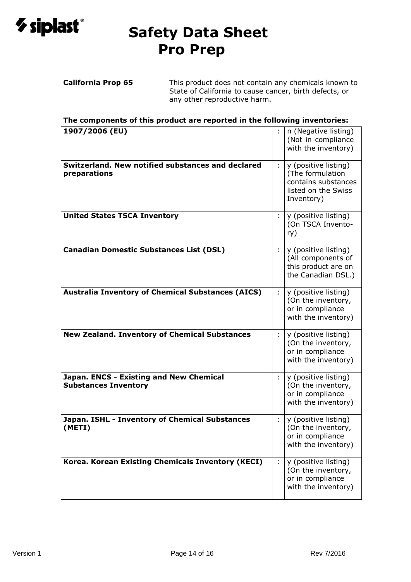

**California Prop 65** This product does not contain any chemicals known to State of California to cause cancer, birth defects, or any other reproductive harm.

**The components of this product are reported in the following inventories:**

| 1907/2006 (EU)                                                         |                             | n (Negative listing)<br>(Not in compliance<br>with the inventory)                                    |
|------------------------------------------------------------------------|-----------------------------|------------------------------------------------------------------------------------------------------|
| Switzerland. New notified substances and declared<br>preparations      | $\mathcal{L}_{\mathcal{A}}$ | y (positive listing)<br>(The formulation<br>contains substances<br>listed on the Swiss<br>Inventory) |
| <b>United States TSCA Inventory</b>                                    | ÷                           | y (positive listing)<br>(On TSCA Invento-<br>ry)                                                     |
| <b>Canadian Domestic Substances List (DSL)</b>                         | $\mathcal{L}$               | y (positive listing)<br>(All components of<br>this product are on<br>the Canadian DSL.)              |
| <b>Australia Inventory of Chemical Substances (AICS)</b>               | $\mathcal{L}^{\mathcal{L}}$ | y (positive listing)<br>(On the inventory,<br>or in compliance<br>with the inventory)                |
| <b>New Zealand. Inventory of Chemical Substances</b>                   | ÷                           | y (positive listing)<br>(On the inventory,                                                           |
|                                                                        |                             | or in compliance<br>with the inventory)                                                              |
| Japan. ENCS - Existing and New Chemical<br><b>Substances Inventory</b> | ÷                           | y (positive listing)<br>(On the inventory,<br>or in compliance<br>with the inventory)                |
| Japan. ISHL - Inventory of Chemical Substances<br>(METI)               | ÷                           | y (positive listing)<br>(On the inventory,<br>or in compliance<br>with the inventory)                |
| Korea. Korean Existing Chemicals Inventory (KECI)                      | $\mathcal{L}_{\mathcal{A}}$ | y (positive listing)<br>(On the inventory,<br>or in compliance<br>with the inventory)                |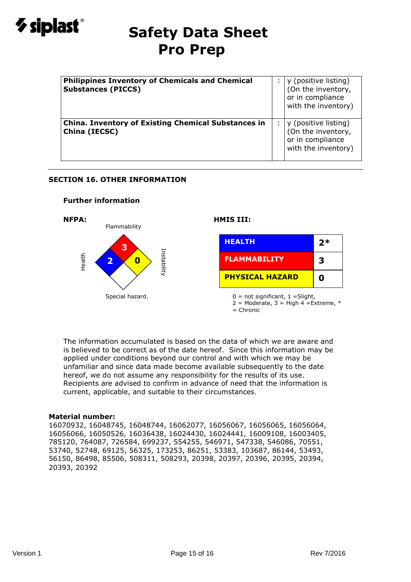

| <b>Philippines Inventory of Chemicals and Chemical</b><br><b>Substances (PICCS)</b> | y (positive listing)<br>(On the inventory,<br>or in compliance<br>with the inventory) |
|-------------------------------------------------------------------------------------|---------------------------------------------------------------------------------------|
| <b>China. Inventory of Existing Chemical Substances in</b><br>China (IECSC)         | y (positive listing)<br>(On the inventory,<br>or in compliance<br>with the inventory) |

### **SECTION 16. OTHER INFORMATION**

#### **Further information**



= Chronic

The information accumulated is based on the data of which we are aware and is believed to be correct as of the date hereof. Since this information may be applied under conditions beyond our control and with which we may be unfamiliar and since data made become available subsequently to the date hereof, we do not assume any responsibility for the results of its use. Recipients are advised to confirm in advance of need that the information is current, applicable, and suitable to their circumstances.

#### **Material number:**

16070932, 16048745, 16048744, 16062077, 16056067, 16056065, 16056064, 16056066, 16050526, 16036438, 16024430, 16024441, 16009108, 16003405, 785120, 764087, 726584, 699237, 554255, 546971, 547338, 546086, 70551, 53740, 52748, 69125, 56325, 173253, 86251, 53383, 103687, 86144, 53493, 56150, 86498, 85506, 508311, 508293, 20398, 20397, 20396, 20395, 20394, 20393, 20392